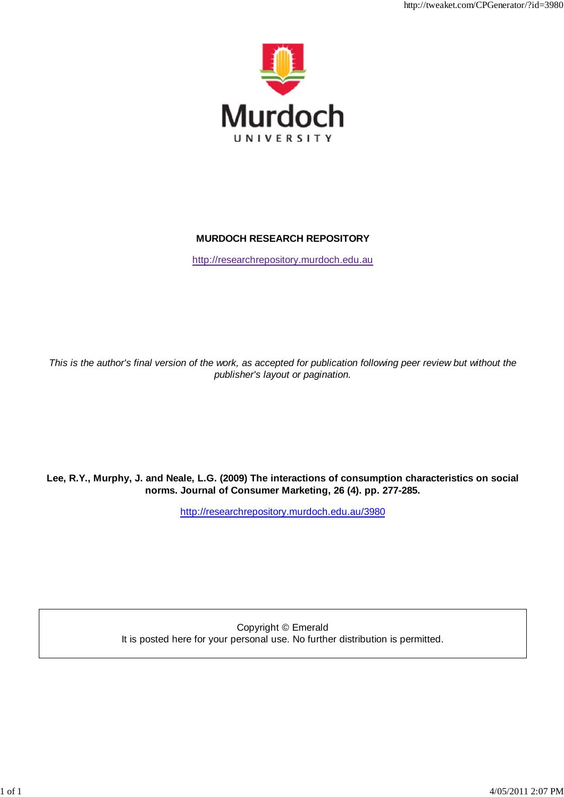

http://tweaket.com/CPGenerator/?id=3980

# **MURDOCH RESEARCH REPOSITORY**

http://researchrepository.murdoch.edu.au

*This is the author's final version of the work, as accepted for publication following peer review but without the publisher's layout or pagination.*

# **Lee, R.Y., Murphy, J. and Neale, L.G. (2009) The interactions of consumption characteristics on social norms. Journal of Consumer Marketing, 26 (4). pp. 277-285.**

http://researchrepository.murdoch.edu.au/3980

Copyright © Emerald It is posted here for your personal use. No further distribution is permitted.

1 of 1 4/05/2011 2:07 PM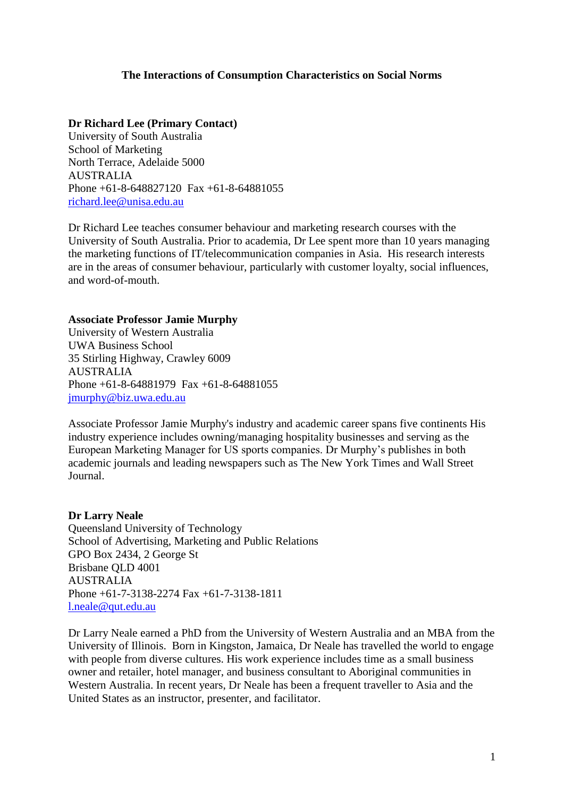# **The Interactions of Consumption Characteristics on Social Norms**

# **Dr Richard Lee (Primary Contact)**

University of South Australia School of Marketing North Terrace, Adelaide 5000 AUSTRALIA Phone +61-8-648827120 Fax +61-8-64881055 [richard.lee@unisa.edu.au](mailto:richard.lee@unisa.edu.au)

Dr Richard Lee teaches consumer behaviour and marketing research courses with the University of South Australia. Prior to academia, Dr Lee spent more than 10 years managing the marketing functions of IT/telecommunication companies in Asia. His research interests are in the areas of consumer behaviour, particularly with customer loyalty, social influences, and word-of-mouth.

# **Associate Professor Jamie Murphy**

University of Western Australia UWA Business School 35 Stirling Highway, Crawley 6009 AUSTRALIA Phone +61-8-64881979 Fax +61-8-64881055 [jmurphy@biz.uwa.edu.au](mailto:jmurphy@biz.uwa.edu.au)

Associate Professor Jamie Murphy's industry and academic career spans five continents His industry experience includes owning/managing hospitality businesses and serving as the European Marketing Manager for US sports companies. Dr Murphy"s publishes in both academic journals and leading newspapers such as The New York Times and Wall Street Journal.

# **Dr Larry Neale**

Queensland University of Technology School of Advertising, Marketing and Public Relations GPO Box 2434, 2 George St Brisbane QLD 4001 AUSTRALIA Phone +61-7-3138-2274 Fax +61-7-3138-1811 [l.neale@qut.edu.au](mailto:l.neale@qut.edu.au)

Dr Larry Neale earned a PhD from the University of Western Australia and an MBA from the University of Illinois. Born in Kingston, Jamaica, Dr Neale has travelled the world to engage with people from diverse cultures. His work experience includes time as a small business owner and retailer, hotel manager, and business consultant to Aboriginal communities in Western Australia. In recent years, Dr Neale has been a frequent traveller to Asia and the United States as an instructor, presenter, and facilitator.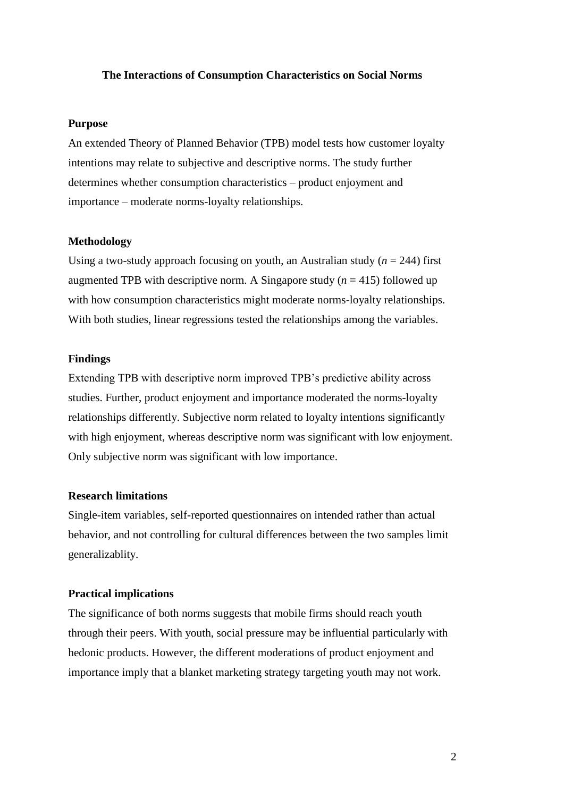#### **The Interactions of Consumption Characteristics on Social Norms**

#### **Purpose**

An extended Theory of Planned Behavior (TPB) model tests how customer loyalty intentions may relate to subjective and descriptive norms. The study further determines whether consumption characteristics – product enjoyment and importance – moderate norms-loyalty relationships.

#### **Methodology**

Using a two-study approach focusing on youth, an Australian study  $(n = 244)$  first augmented TPB with descriptive norm. A Singapore study  $(n = 415)$  followed up with how consumption characteristics might moderate norms-loyalty relationships. With both studies, linear regressions tested the relationships among the variables.

#### **Findings**

Extending TPB with descriptive norm improved TPB"s predictive ability across studies. Further, product enjoyment and importance moderated the norms-loyalty relationships differently. Subjective norm related to loyalty intentions significantly with high enjoyment, whereas descriptive norm was significant with low enjoyment. Only subjective norm was significant with low importance.

# **Research limitations**

Single-item variables, self-reported questionnaires on intended rather than actual behavior, and not controlling for cultural differences between the two samples limit generalizablity.

### **Practical implications**

The significance of both norms suggests that mobile firms should reach youth through their peers. With youth, social pressure may be influential particularly with hedonic products. However, the different moderations of product enjoyment and importance imply that a blanket marketing strategy targeting youth may not work.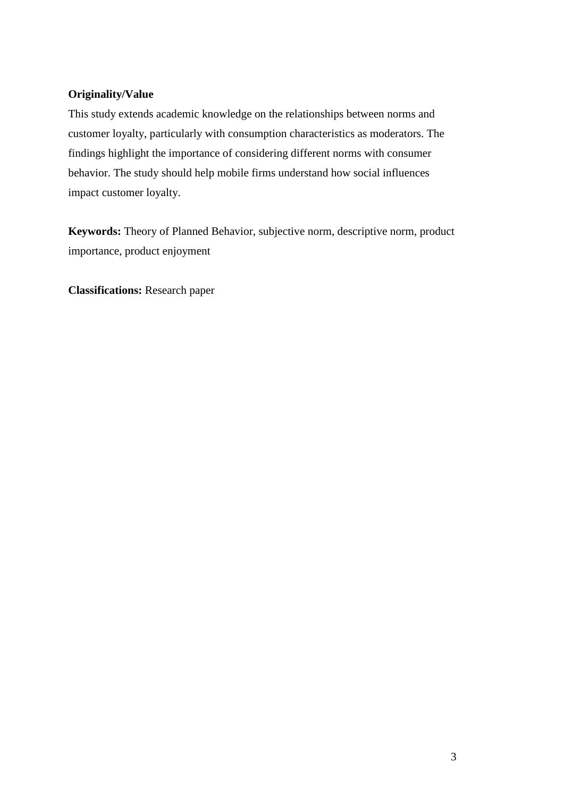# **Originality/Value**

This study extends academic knowledge on the relationships between norms and customer loyalty, particularly with consumption characteristics as moderators. The findings highlight the importance of considering different norms with consumer behavior. The study should help mobile firms understand how social influences impact customer loyalty.

**Keywords:** Theory of Planned Behavior, subjective norm, descriptive norm, product importance, product enjoyment

**Classifications:** Research paper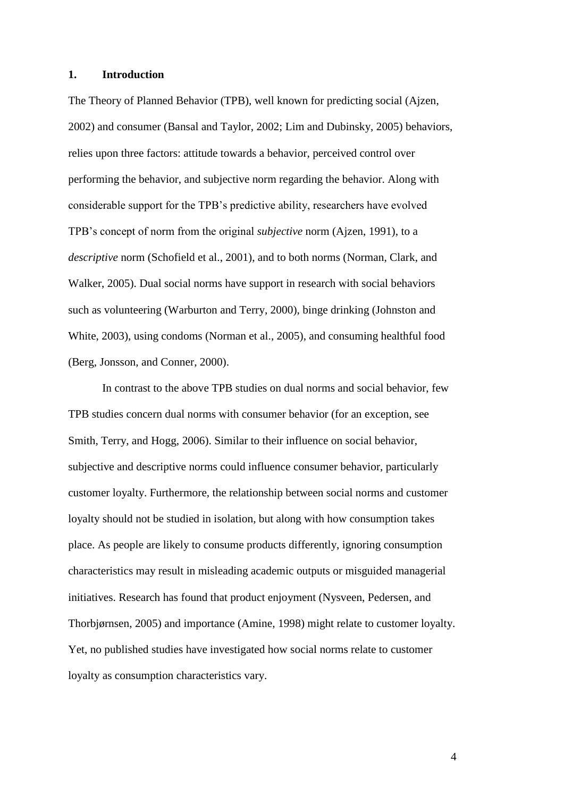## **1. Introduction**

The Theory of Planned Behavior (TPB), well known for predicting social (Ajzen, 2002) and consumer (Bansal and Taylor, 2002; Lim and Dubinsky, 2005) behaviors, relies upon three factors: attitude towards a behavior, perceived control over performing the behavior, and subjective norm regarding the behavior. Along with considerable support for the TPB"s predictive ability, researchers have evolved TPB"s concept of norm from the original *subjective* norm (Ajzen, 1991), to a *descriptive* norm (Schofield et al., 2001), and to both norms (Norman, Clark, and Walker, 2005). Dual social norms have support in research with social behaviors such as volunteering (Warburton and Terry, 2000), binge drinking (Johnston and White, 2003), using condoms (Norman et al., 2005), and consuming healthful food (Berg, Jonsson, and Conner, 2000).

In contrast to the above TPB studies on dual norms and social behavior, few TPB studies concern dual norms with consumer behavior (for an exception, see Smith, Terry, and Hogg, 2006). Similar to their influence on social behavior, subjective and descriptive norms could influence consumer behavior, particularly customer loyalty. Furthermore, the relationship between social norms and customer loyalty should not be studied in isolation, but along with how consumption takes place. As people are likely to consume products differently, ignoring consumption characteristics may result in misleading academic outputs or misguided managerial initiatives. Research has found that product enjoyment (Nysveen, Pedersen, and Thorbjørnsen, 2005) and importance (Amine, 1998) might relate to customer loyalty. Yet, no published studies have investigated how social norms relate to customer loyalty as consumption characteristics vary.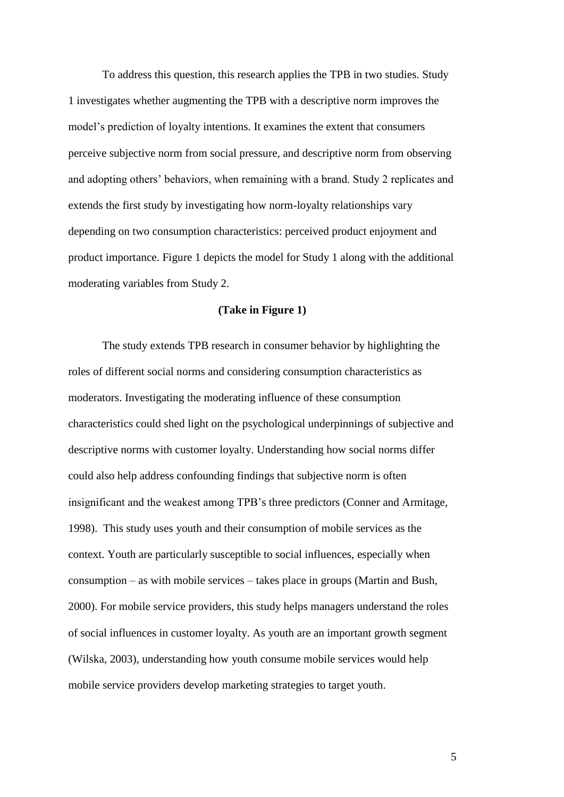To address this question, this research applies the TPB in two studies. Study 1 investigates whether augmenting the TPB with a descriptive norm improves the model"s prediction of loyalty intentions. It examines the extent that consumers perceive subjective norm from social pressure, and descriptive norm from observing and adopting others" behaviors, when remaining with a brand. Study 2 replicates and extends the first study by investigating how norm-loyalty relationships vary depending on two consumption characteristics: perceived product enjoyment and product importance. Figure 1 depicts the model for Study 1 along with the additional moderating variables from Study 2.

### **(Take in Figure 1)**

The study extends TPB research in consumer behavior by highlighting the roles of different social norms and considering consumption characteristics as moderators. Investigating the moderating influence of these consumption characteristics could shed light on the psychological underpinnings of subjective and descriptive norms with customer loyalty. Understanding how social norms differ could also help address confounding findings that subjective norm is often insignificant and the weakest among TPB"s three predictors (Conner and Armitage, 1998). This study uses youth and their consumption of mobile services as the context. Youth are particularly susceptible to social influences, especially when consumption – as with mobile services – takes place in groups (Martin and Bush, 2000). For mobile service providers, this study helps managers understand the roles of social influences in customer loyalty. As youth are an important growth segment (Wilska, 2003), understanding how youth consume mobile services would help mobile service providers develop marketing strategies to target youth.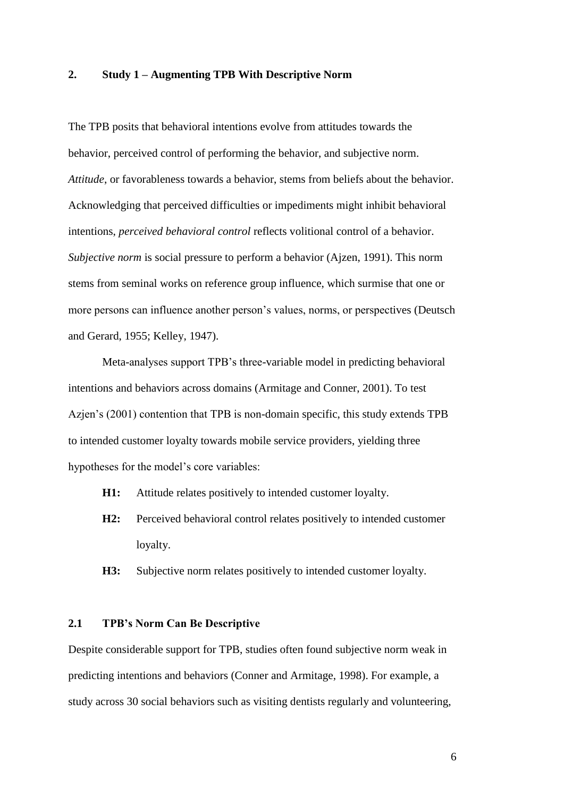## **2. Study 1 – Augmenting TPB With Descriptive Norm**

The TPB posits that behavioral intentions evolve from attitudes towards the behavior, perceived control of performing the behavior, and subjective norm. *Attitude*, or favorableness towards a behavior, stems from beliefs about the behavior. Acknowledging that perceived difficulties or impediments might inhibit behavioral intentions, *perceived behavioral control* reflects volitional control of a behavior. *Subjective norm* is social pressure to perform a behavior (Ajzen, 1991). This norm stems from seminal works on reference group influence, which surmise that one or more persons can influence another person"s values, norms, or perspectives (Deutsch and Gerard, 1955; Kelley, 1947).

Meta-analyses support TPB"s three-variable model in predicting behavioral intentions and behaviors across domains (Armitage and Conner, 2001). To test Azjen"s (2001) contention that TPB is non-domain specific, this study extends TPB to intended customer loyalty towards mobile service providers, yielding three hypotheses for the model's core variables:

- **H1:** Attitude relates positively to intended customer loyalty.
- **H2:** Perceived behavioral control relates positively to intended customer loyalty.
- **H3:** Subjective norm relates positively to intended customer loyalty.

# **2.1 TPB's Norm Can Be Descriptive**

Despite considerable support for TPB, studies often found subjective norm weak in predicting intentions and behaviors (Conner and Armitage, 1998). For example, a study across 30 social behaviors such as visiting dentists regularly and volunteering,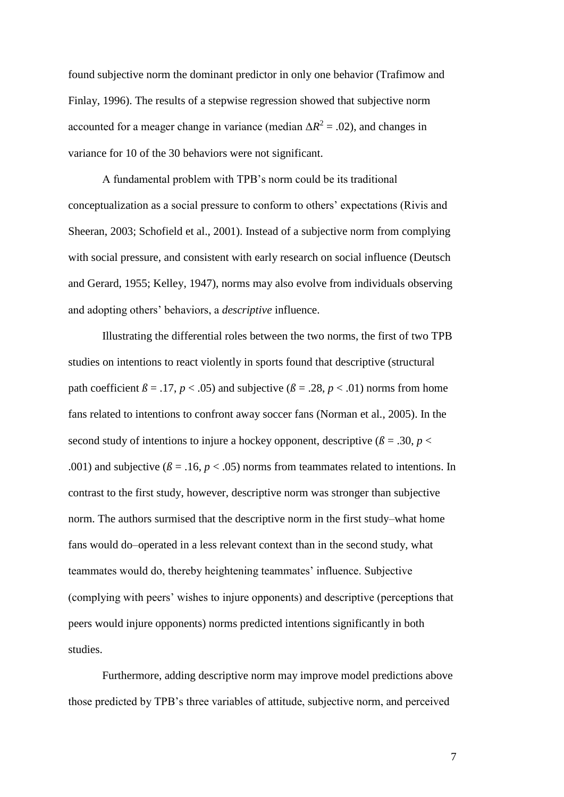found subjective norm the dominant predictor in only one behavior (Trafimow and Finlay, 1996). The results of a stepwise regression showed that subjective norm accounted for a meager change in variance (median  $\Delta R^2 = .02$ ), and changes in variance for 10 of the 30 behaviors were not significant.

A fundamental problem with TPB"s norm could be its traditional conceptualization as a social pressure to conform to others" expectations (Rivis and Sheeran, 2003; Schofield et al., 2001). Instead of a subjective norm from complying with social pressure, and consistent with early research on social influence (Deutsch and Gerard, 1955; Kelley, 1947), norms may also evolve from individuals observing and adopting others" behaviors, a *descriptive* influence.

Illustrating the differential roles between the two norms, the first of two TPB studies on intentions to react violently in sports found that descriptive (structural path coefficient  $\beta = .17$ ,  $p < .05$ ) and subjective ( $\beta = .28$ ,  $p < .01$ ) norms from home fans related to intentions to confront away soccer fans (Norman et al., 2005). In the second study of intentions to injure a hockey opponent, descriptive  $(\beta = .30, p <$ .001) and subjective ( $\beta$  = .16,  $p$  < .05) norms from teammates related to intentions. In contrast to the first study, however, descriptive norm was stronger than subjective norm. The authors surmised that the descriptive norm in the first study–what home fans would do–operated in a less relevant context than in the second study, what teammates would do, thereby heightening teammates" influence. Subjective (complying with peers" wishes to injure opponents) and descriptive (perceptions that peers would injure opponents) norms predicted intentions significantly in both studies.

Furthermore, adding descriptive norm may improve model predictions above those predicted by TPB"s three variables of attitude, subjective norm, and perceived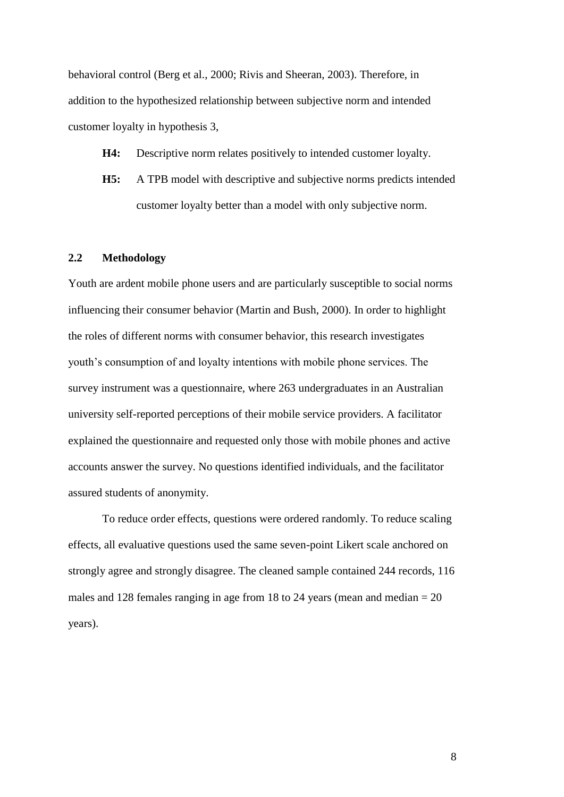behavioral control (Berg et al., 2000; Rivis and Sheeran, 2003). Therefore, in addition to the hypothesized relationship between subjective norm and intended customer loyalty in hypothesis 3,

- **H4:** Descriptive norm relates positively to intended customer loyalty.
- **H5:** A TPB model with descriptive and subjective norms predicts intended customer loyalty better than a model with only subjective norm.

### **2.2 Methodology**

Youth are ardent mobile phone users and are particularly susceptible to social norms influencing their consumer behavior (Martin and Bush, 2000). In order to highlight the roles of different norms with consumer behavior, this research investigates youth"s consumption of and loyalty intentions with mobile phone services. The survey instrument was a questionnaire, where 263 undergraduates in an Australian university self-reported perceptions of their mobile service providers. A facilitator explained the questionnaire and requested only those with mobile phones and active accounts answer the survey. No questions identified individuals, and the facilitator assured students of anonymity.

To reduce order effects, questions were ordered randomly. To reduce scaling effects, all evaluative questions used the same seven-point Likert scale anchored on strongly agree and strongly disagree. The cleaned sample contained 244 records, 116 males and 128 females ranging in age from 18 to 24 years (mean and median  $= 20$ ) years).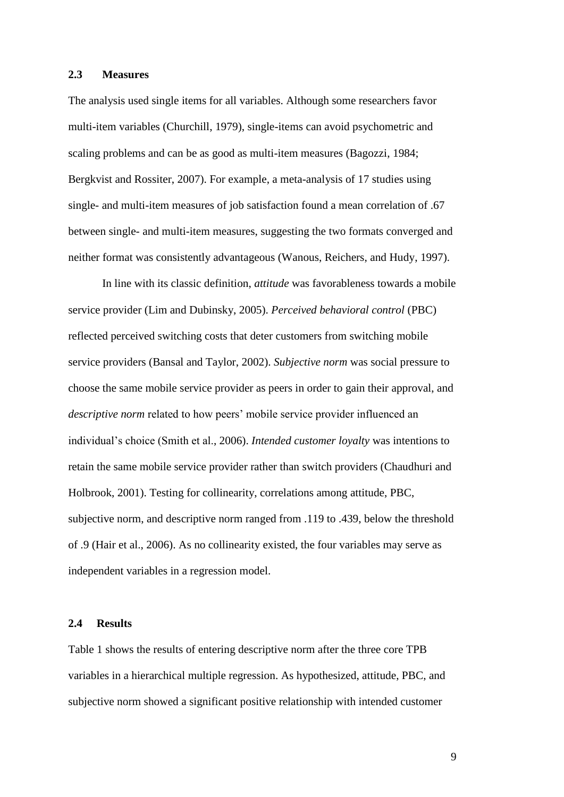#### **2.3 Measures**

The analysis used single items for all variables. Although some researchers favor multi-item variables (Churchill, 1979), single-items can avoid psychometric and scaling problems and can be as good as multi-item measures (Bagozzi, 1984; Bergkvist and Rossiter, 2007). For example, a meta-analysis of 17 studies using single- and multi-item measures of job satisfaction found a mean correlation of .67 between single- and multi-item measures, suggesting the two formats converged and neither format was consistently advantageous (Wanous, Reichers, and Hudy, 1997).

In line with its classic definition, *attitude* was favorableness towards a mobile service provider (Lim and Dubinsky, 2005). *Perceived behavioral control* (PBC) reflected perceived switching costs that deter customers from switching mobile service providers (Bansal and Taylor, 2002). *Subjective norm* was social pressure to choose the same mobile service provider as peers in order to gain their approval, and *descriptive norm* related to how peers' mobile service provider influenced an individual"s choice (Smith et al., 2006). *Intended customer loyalty* was intentions to retain the same mobile service provider rather than switch providers (Chaudhuri and Holbrook, 2001). Testing for collinearity, correlations among attitude, PBC, subjective norm, and descriptive norm ranged from .119 to .439, below the threshold of .9 (Hair et al., 2006). As no collinearity existed, the four variables may serve as independent variables in a regression model.

# **2.4 Results**

Table 1 shows the results of entering descriptive norm after the three core TPB variables in a hierarchical multiple regression. As hypothesized, attitude, PBC, and subjective norm showed a significant positive relationship with intended customer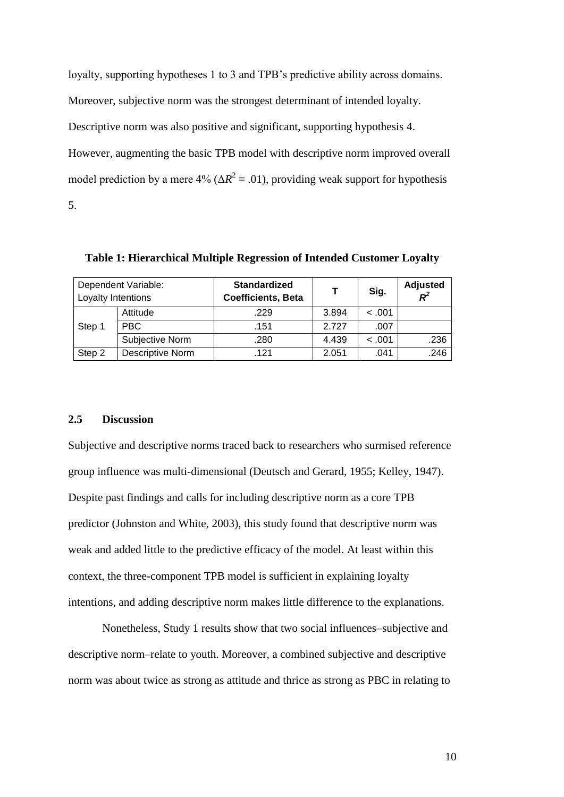loyalty, supporting hypotheses 1 to 3 and TPB"s predictive ability across domains.

Moreover, subjective norm was the strongest determinant of intended loyalty.

Descriptive norm was also positive and significant, supporting hypothesis 4.

However, augmenting the basic TPB model with descriptive norm improved overall model prediction by a mere  $4\%$  ( $\Delta R^2 = .01$ ), providing weak support for hypothesis 5.

Dependent Variable: Loyalty Intentions **Standardized Coefficients, Beta T Sig. Adjusted R**<sup>2</sup> *R 2* Step 1 Attitude 1.229 3.894 < .001 PBC .151 2.727 .007 Subjective Norm .280 4.439 < .001 .236 Step 2 Descriptive Norm .121 2.051 .041 .246

**Table 1: Hierarchical Multiple Regression of Intended Customer Loyalty**

### **2.5 Discussion**

Subjective and descriptive norms traced back to researchers who surmised reference group influence was multi-dimensional (Deutsch and Gerard, 1955; Kelley, 1947). Despite past findings and calls for including descriptive norm as a core TPB predictor (Johnston and White, 2003), this study found that descriptive norm was weak and added little to the predictive efficacy of the model. At least within this context, the three-component TPB model is sufficient in explaining loyalty intentions, and adding descriptive norm makes little difference to the explanations.

Nonetheless, Study 1 results show that two social influences–subjective and descriptive norm–relate to youth. Moreover, a combined subjective and descriptive norm was about twice as strong as attitude and thrice as strong as PBC in relating to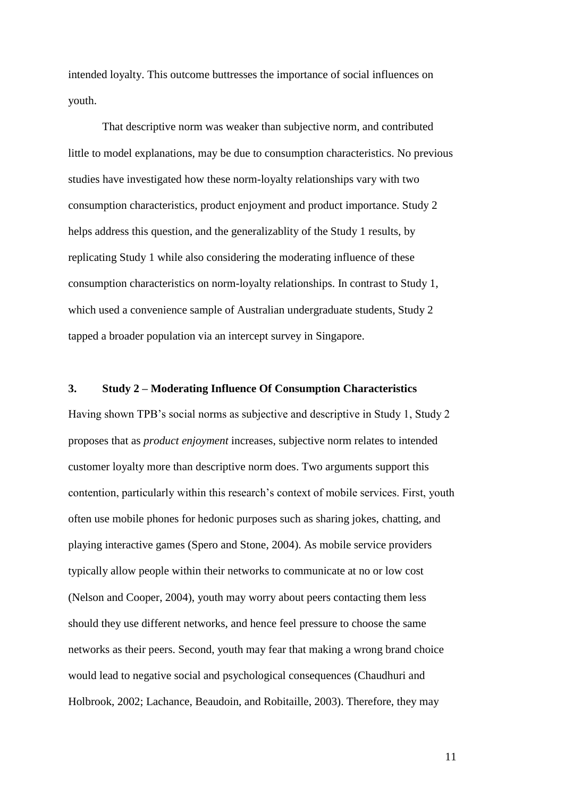intended loyalty. This outcome buttresses the importance of social influences on youth.

That descriptive norm was weaker than subjective norm, and contributed little to model explanations, may be due to consumption characteristics. No previous studies have investigated how these norm-loyalty relationships vary with two consumption characteristics, product enjoyment and product importance. Study 2 helps address this question, and the generalizablity of the Study 1 results, by replicating Study 1 while also considering the moderating influence of these consumption characteristics on norm-loyalty relationships. In contrast to Study 1, which used a convenience sample of Australian undergraduate students, Study 2 tapped a broader population via an intercept survey in Singapore.

# **3. Study 2 – Moderating Influence Of Consumption Characteristics**

Having shown TPB"s social norms as subjective and descriptive in Study 1, Study 2 proposes that as *product enjoyment* increases, subjective norm relates to intended customer loyalty more than descriptive norm does. Two arguments support this contention, particularly within this research"s context of mobile services. First, youth often use mobile phones for hedonic purposes such as sharing jokes, chatting, and playing interactive games (Spero and Stone, 2004). As mobile service providers typically allow people within their networks to communicate at no or low cost (Nelson and Cooper, 2004), youth may worry about peers contacting them less should they use different networks, and hence feel pressure to choose the same networks as their peers. Second, youth may fear that making a wrong brand choice would lead to negative social and psychological consequences (Chaudhuri and Holbrook, 2002; Lachance, Beaudoin, and Robitaille, 2003). Therefore, they may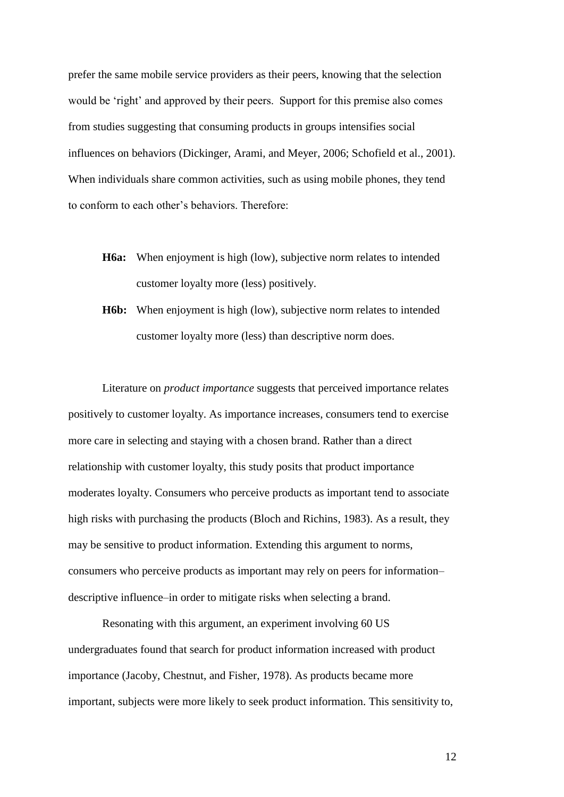prefer the same mobile service providers as their peers, knowing that the selection would be 'right' and approved by their peers. Support for this premise also comes from studies suggesting that consuming products in groups intensifies social influences on behaviors (Dickinger, Arami, and Meyer, 2006; Schofield et al., 2001). When individuals share common activities, such as using mobile phones, they tend to conform to each other"s behaviors. Therefore:

- **H6a:** When enjoyment is high (low), subjective norm relates to intended customer loyalty more (less) positively.
- **H6b:** When enjoyment is high (low), subjective norm relates to intended customer loyalty more (less) than descriptive norm does.

Literature on *product importance* suggests that perceived importance relates positively to customer loyalty. As importance increases, consumers tend to exercise more care in selecting and staying with a chosen brand. Rather than a direct relationship with customer loyalty, this study posits that product importance moderates loyalty. Consumers who perceive products as important tend to associate high risks with purchasing the products (Bloch and Richins, 1983). As a result, they may be sensitive to product information. Extending this argument to norms, consumers who perceive products as important may rely on peers for information– descriptive influence–in order to mitigate risks when selecting a brand.

Resonating with this argument, an experiment involving 60 US undergraduates found that search for product information increased with product importance (Jacoby, Chestnut, and Fisher, 1978). As products became more important, subjects were more likely to seek product information. This sensitivity to,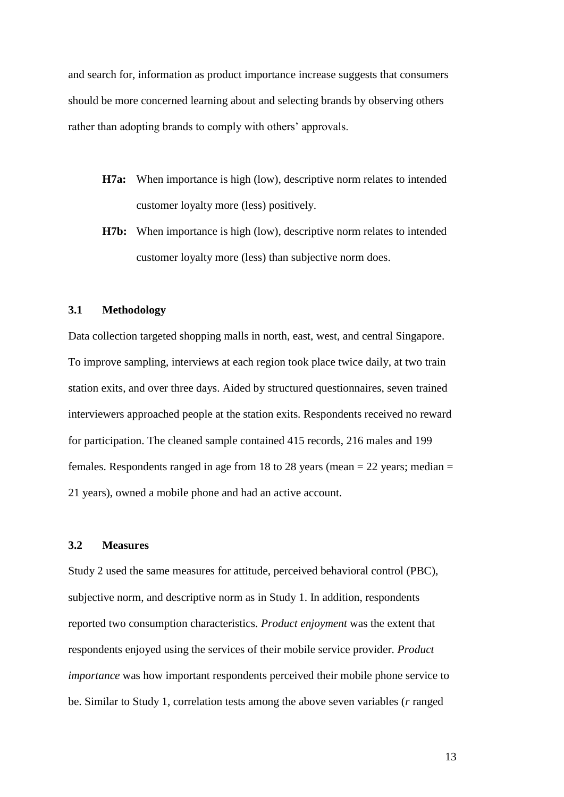and search for, information as product importance increase suggests that consumers should be more concerned learning about and selecting brands by observing others rather than adopting brands to comply with others' approvals.

- **H7a:** When importance is high (low), descriptive norm relates to intended customer loyalty more (less) positively.
- **H7b:** When importance is high (low), descriptive norm relates to intended customer loyalty more (less) than subjective norm does.

### **3.1 Methodology**

Data collection targeted shopping malls in north, east, west, and central Singapore. To improve sampling, interviews at each region took place twice daily, at two train station exits, and over three days. Aided by structured questionnaires, seven trained interviewers approached people at the station exits. Respondents received no reward for participation. The cleaned sample contained 415 records, 216 males and 199 females. Respondents ranged in age from 18 to 28 years (mean  $= 22$  years; median  $=$ 21 years), owned a mobile phone and had an active account.

## **3.2 Measures**

Study 2 used the same measures for attitude, perceived behavioral control (PBC), subjective norm, and descriptive norm as in Study 1. In addition, respondents reported two consumption characteristics. *Product enjoyment* was the extent that respondents enjoyed using the services of their mobile service provider. *Product importance* was how important respondents perceived their mobile phone service to be. Similar to Study 1, correlation tests among the above seven variables (*r* ranged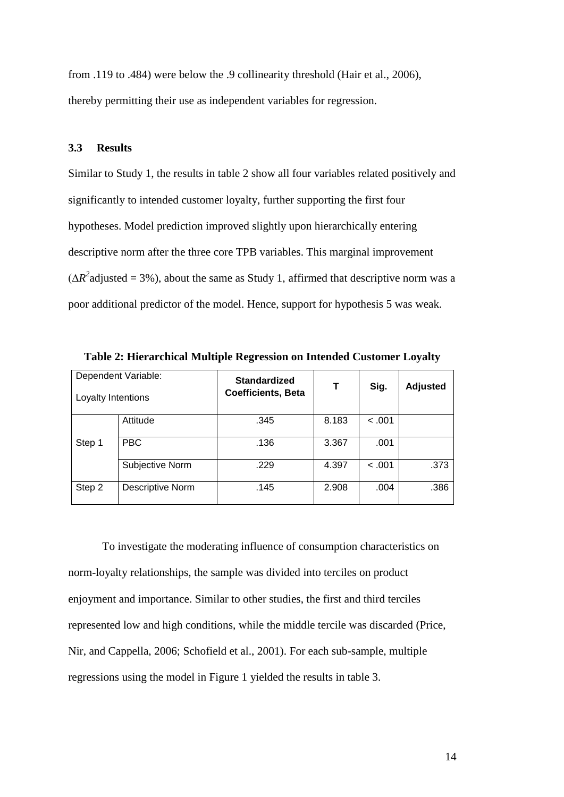from .119 to .484) were below the .9 collinearity threshold (Hair et al., 2006), thereby permitting their use as independent variables for regression.

#### **3.3 Results**

Similar to Study 1, the results in table 2 show all four variables related positively and significantly to intended customer loyalty, further supporting the first four hypotheses. Model prediction improved slightly upon hierarchically entering descriptive norm after the three core TPB variables. This marginal improvement  $(\Delta R^2$ adjusted = 3%), about the same as Study 1, affirmed that descriptive norm was a poor additional predictor of the model. Hence, support for hypothesis 5 was weak.

| Dependent Variable:<br>Loyalty Intentions |                  | <b>Standardized</b><br><b>Coefficients, Beta</b> | Т     | Sig.   | <b>Adjusted</b> |
|-------------------------------------------|------------------|--------------------------------------------------|-------|--------|-----------------|
| Step 1                                    | Attitude         | .345                                             | 8.183 | < .001 |                 |
|                                           | <b>PBC</b>       | .136                                             | 3.367 | .001   |                 |
|                                           | Subjective Norm  | .229                                             | 4.397 | < .001 | .373            |
| Step 2                                    | Descriptive Norm | .145                                             | 2.908 | .004   | .386            |

**Table 2: Hierarchical Multiple Regression on Intended Customer Loyalty**

To investigate the moderating influence of consumption characteristics on norm-loyalty relationships, the sample was divided into terciles on product enjoyment and importance. Similar to other studies, the first and third terciles represented low and high conditions, while the middle tercile was discarded (Price, Nir, and Cappella, 2006; Schofield et al., 2001). For each sub-sample, multiple regressions using the model in Figure 1 yielded the results in table 3.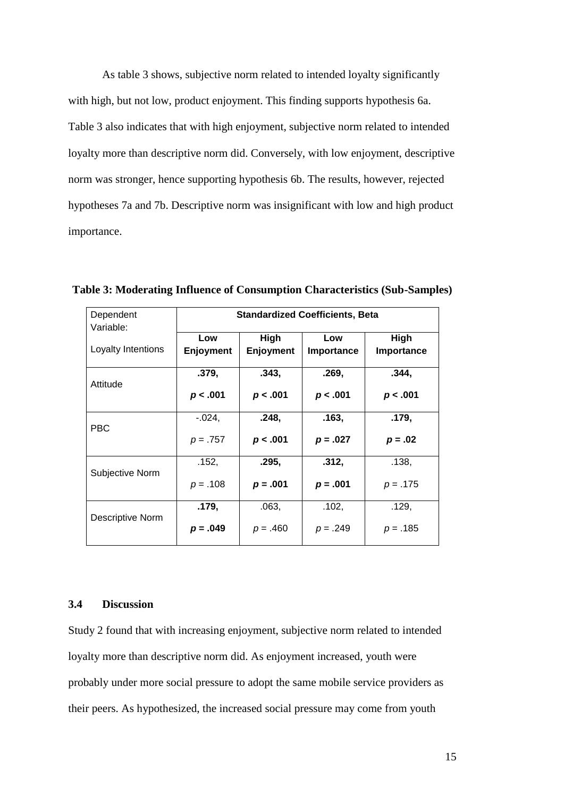As table 3 shows, subjective norm related to intended loyalty significantly with high, but not low, product enjoyment. This finding supports hypothesis 6a. Table 3 also indicates that with high enjoyment, subjective norm related to intended loyalty more than descriptive norm did. Conversely, with low enjoyment, descriptive norm was stronger, hence supporting hypothesis 6b. The results, however, rejected hypotheses 7a and 7b. Descriptive norm was insignificant with low and high product importance.

| Dependent<br>Variable: | <b>Standardized Coefficients, Beta</b> |                  |            |            |  |
|------------------------|----------------------------------------|------------------|------------|------------|--|
|                        | High<br>Low                            |                  | Low        | High       |  |
| Loyalty Intentions     | <b>Enjoyment</b>                       | <b>Enjoyment</b> | Importance | Importance |  |
|                        | .379,                                  | .343,            | .269,      | .344,      |  |
| Attitude               | p < .001                               | p < .001         | p < .001   | p < .001   |  |
|                        | $-0.024$ ,                             | .248,            | .163,      | .179,      |  |
| <b>PBC</b>             | $p = .757$                             | p < .001         | $p = .027$ | $p = .02$  |  |
|                        | .152,                                  | .295,            | .312,      | .138,      |  |
| Subjective Norm        | $p = .108$                             | $p = .001$       | $p = .001$ | $p = .175$ |  |
|                        | .179,                                  | .063,            | .102,      | .129,      |  |
| Descriptive Norm       | $p = .049$                             | $p = .460$       | $p = .249$ | $p = .185$ |  |

**Table 3: Moderating Influence of Consumption Characteristics (Sub-Samples)**

# **3.4 Discussion**

Study 2 found that with increasing enjoyment, subjective norm related to intended loyalty more than descriptive norm did. As enjoyment increased, youth were probably under more social pressure to adopt the same mobile service providers as their peers. As hypothesized, the increased social pressure may come from youth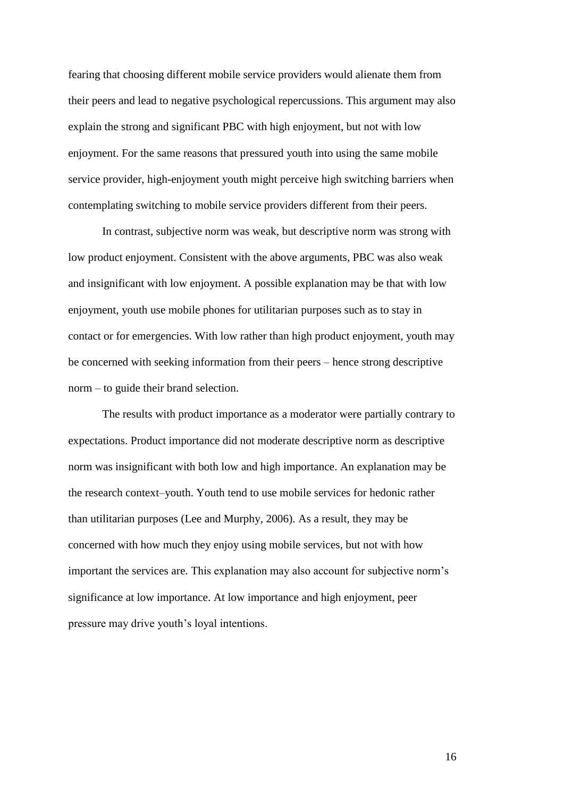fearing that choosing different mobile service providers would alienate them from their peers and lead to negative psychological repercussions. This argument may also explain the strong and significant PBC with high enjoyment, but not with low enjoyment. For the same reasons that pressured youth into using the same mobile service provider, high-enjoyment youth might perceive high switching barriers when contemplating switching to mobile service providers different from their peers.

In contrast, subjective norm was weak, but descriptive norm was strong with low product enjoyment. Consistent with the above arguments, PBC was also weak and insignificant with low enjoyment. A possible explanation may be that with low enjoyment, youth use mobile phones for utilitarian purposes such as to stay in contact or for emergencies. With low rather than high product enjoyment, youth may be concerned with seeking information from their peers – hence strong descriptive norm – to guide their brand selection.

The results with product importance as a moderator were partially contrary to expectations. Product importance did not moderate descriptive norm as descriptive norm was insignificant with both low and high importance. An explanation may be the research context–youth. Youth tend to use mobile services for hedonic rather than utilitarian purposes (Lee and Murphy, 2006). As a result, they may be concerned with how much they enjoy using mobile services, but not with how important the services are. This explanation may also account for subjective norm"s significance at low importance. At low importance and high enjoyment, peer pressure may drive youth"s loyal intentions.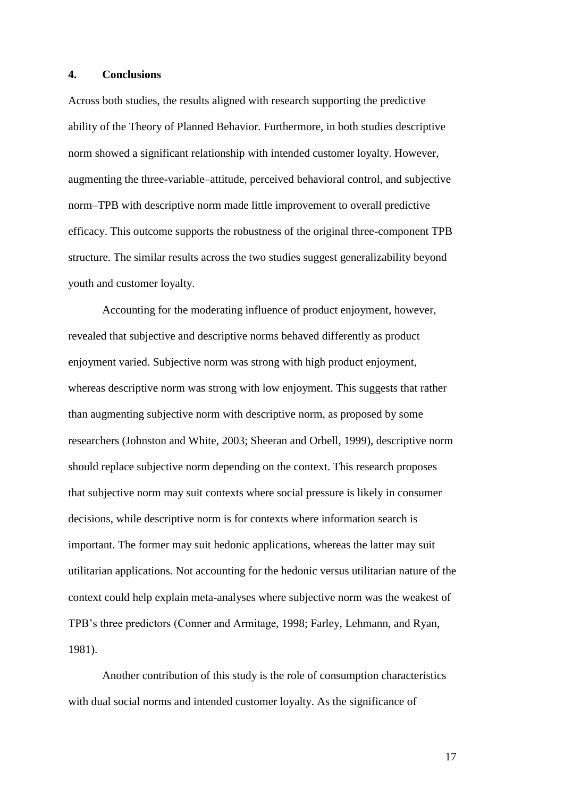# **4. Conclusions**

Across both studies, the results aligned with research supporting the predictive ability of the Theory of Planned Behavior. Furthermore, in both studies descriptive norm showed a significant relationship with intended customer loyalty. However, augmenting the three-variable–attitude, perceived behavioral control, and subjective norm–TPB with descriptive norm made little improvement to overall predictive efficacy. This outcome supports the robustness of the original three-component TPB structure. The similar results across the two studies suggest generalizability beyond youth and customer loyalty.

Accounting for the moderating influence of product enjoyment, however, revealed that subjective and descriptive norms behaved differently as product enjoyment varied. Subjective norm was strong with high product enjoyment, whereas descriptive norm was strong with low enjoyment. This suggests that rather than augmenting subjective norm with descriptive norm, as proposed by some researchers (Johnston and White, 2003; Sheeran and Orbell, 1999), descriptive norm should replace subjective norm depending on the context. This research proposes that subjective norm may suit contexts where social pressure is likely in consumer decisions, while descriptive norm is for contexts where information search is important. The former may suit hedonic applications, whereas the latter may suit utilitarian applications. Not accounting for the hedonic versus utilitarian nature of the context could help explain meta-analyses where subjective norm was the weakest of TPB"s three predictors (Conner and Armitage, 1998; Farley, Lehmann, and Ryan, 1981).

Another contribution of this study is the role of consumption characteristics with dual social norms and intended customer loyalty. As the significance of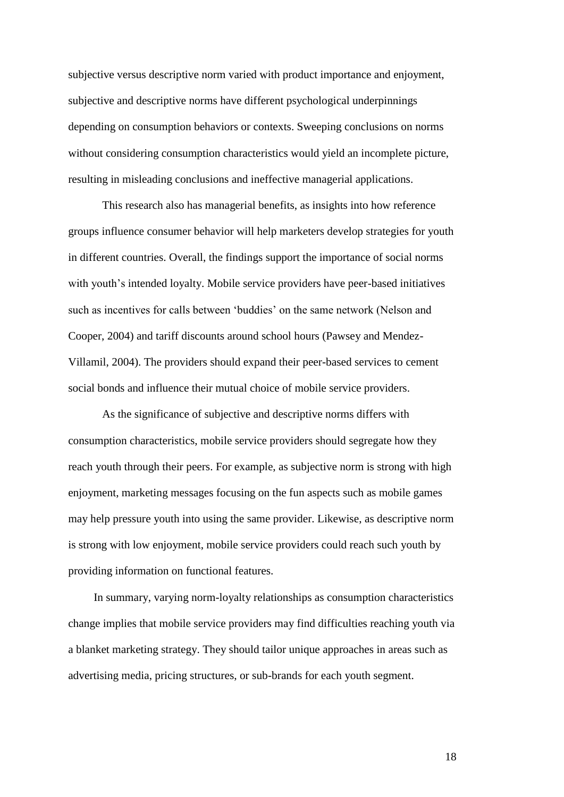subjective versus descriptive norm varied with product importance and enjoyment, subjective and descriptive norms have different psychological underpinnings depending on consumption behaviors or contexts. Sweeping conclusions on norms without considering consumption characteristics would yield an incomplete picture, resulting in misleading conclusions and ineffective managerial applications.

This research also has managerial benefits, as insights into how reference groups influence consumer behavior will help marketers develop strategies for youth in different countries. Overall, the findings support the importance of social norms with youth's intended loyalty. Mobile service providers have peer-based initiatives such as incentives for calls between "buddies" on the same network (Nelson and Cooper, 2004) and tariff discounts around school hours (Pawsey and Mendez-Villamil, 2004). The providers should expand their peer-based services to cement social bonds and influence their mutual choice of mobile service providers.

As the significance of subjective and descriptive norms differs with consumption characteristics, mobile service providers should segregate how they reach youth through their peers. For example, as subjective norm is strong with high enjoyment, marketing messages focusing on the fun aspects such as mobile games may help pressure youth into using the same provider. Likewise, as descriptive norm is strong with low enjoyment, mobile service providers could reach such youth by providing information on functional features.

In summary, varying norm-loyalty relationships as consumption characteristics change implies that mobile service providers may find difficulties reaching youth via a blanket marketing strategy. They should tailor unique approaches in areas such as advertising media, pricing structures, or sub-brands for each youth segment.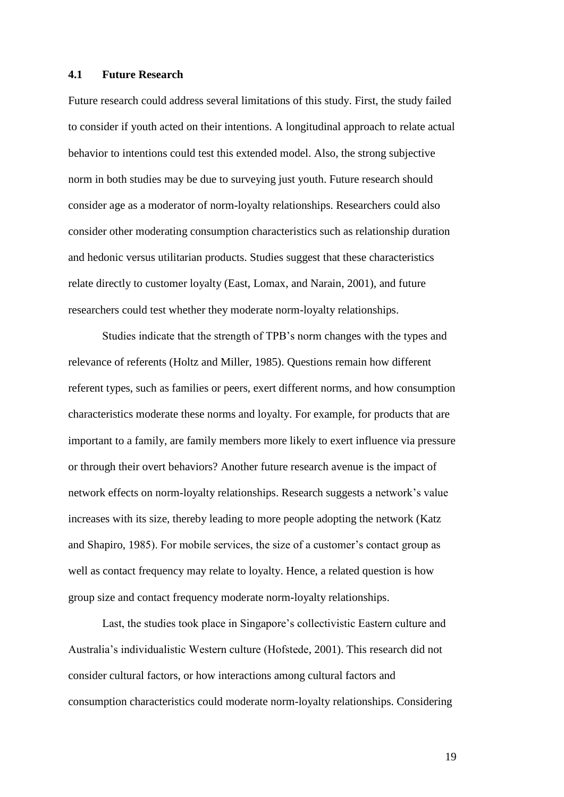#### **4.1 Future Research**

Future research could address several limitations of this study. First, the study failed to consider if youth acted on their intentions. A longitudinal approach to relate actual behavior to intentions could test this extended model. Also, the strong subjective norm in both studies may be due to surveying just youth. Future research should consider age as a moderator of norm-loyalty relationships. Researchers could also consider other moderating consumption characteristics such as relationship duration and hedonic versus utilitarian products. Studies suggest that these characteristics relate directly to customer loyalty (East, Lomax, and Narain, 2001), and future researchers could test whether they moderate norm-loyalty relationships.

Studies indicate that the strength of TPB"s norm changes with the types and relevance of referents (Holtz and Miller, 1985). Questions remain how different referent types, such as families or peers, exert different norms, and how consumption characteristics moderate these norms and loyalty. For example, for products that are important to a family, are family members more likely to exert influence via pressure or through their overt behaviors? Another future research avenue is the impact of network effects on norm-loyalty relationships. Research suggests a network"s value increases with its size, thereby leading to more people adopting the network (Katz and Shapiro, 1985). For mobile services, the size of a customer"s contact group as well as contact frequency may relate to loyalty. Hence, a related question is how group size and contact frequency moderate norm-loyalty relationships.

Last, the studies took place in Singapore's collectivistic Eastern culture and Australia"s individualistic Western culture (Hofstede, 2001). This research did not consider cultural factors, or how interactions among cultural factors and consumption characteristics could moderate norm-loyalty relationships. Considering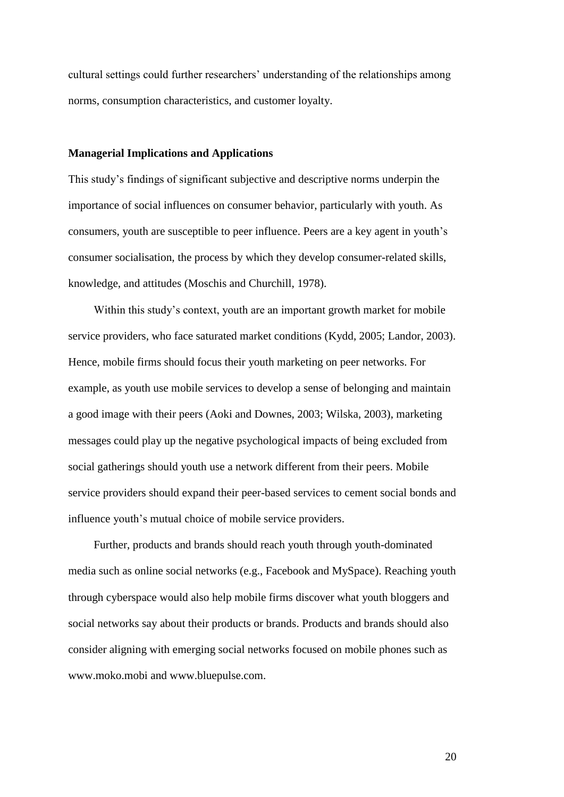cultural settings could further researchers" understanding of the relationships among norms, consumption characteristics, and customer loyalty.

#### **Managerial Implications and Applications**

This study"s findings of significant subjective and descriptive norms underpin the importance of social influences on consumer behavior, particularly with youth. As consumers, youth are susceptible to peer influence. Peers are a key agent in youth"s consumer socialisation, the process by which they develop consumer-related skills, knowledge, and attitudes (Moschis and Churchill, 1978).

Within this study"s context, youth are an important growth market for mobile service providers, who face saturated market conditions (Kydd, 2005; Landor, 2003). Hence, mobile firms should focus their youth marketing on peer networks. For example, as youth use mobile services to develop a sense of belonging and maintain a good image with their peers (Aoki and Downes, 2003; Wilska, 2003), marketing messages could play up the negative psychological impacts of being excluded from social gatherings should youth use a network different from their peers. Mobile service providers should expand their peer-based services to cement social bonds and influence youth's mutual choice of mobile service providers.

Further, products and brands should reach youth through youth-dominated media such as online social networks (e.g., Facebook and MySpace). Reaching youth through cyberspace would also help mobile firms discover what youth bloggers and social networks say about their products or brands. Products and brands should also consider aligning with emerging social networks focused on mobile phones such as www.moko.mobi and www.bluepulse.com.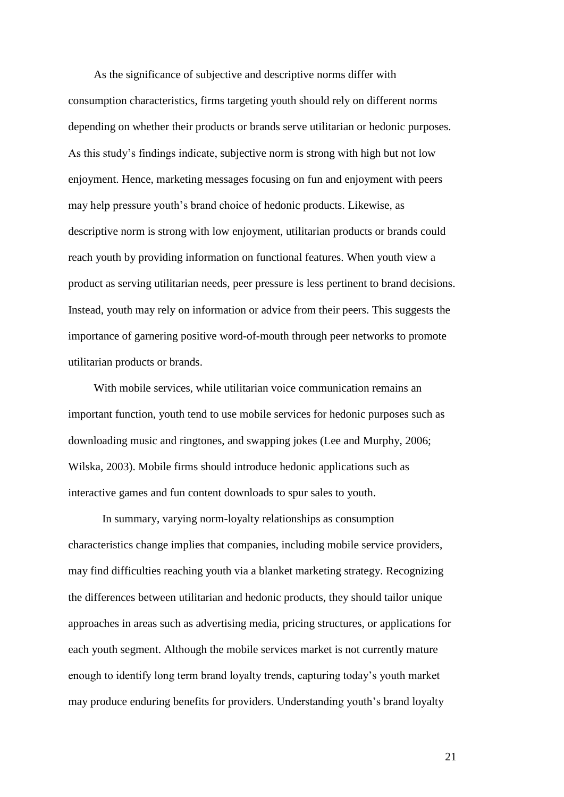As the significance of subjective and descriptive norms differ with consumption characteristics, firms targeting youth should rely on different norms depending on whether their products or brands serve utilitarian or hedonic purposes. As this study"s findings indicate, subjective norm is strong with high but not low enjoyment. Hence, marketing messages focusing on fun and enjoyment with peers may help pressure youth"s brand choice of hedonic products. Likewise, as descriptive norm is strong with low enjoyment, utilitarian products or brands could reach youth by providing information on functional features. When youth view a product as serving utilitarian needs, peer pressure is less pertinent to brand decisions. Instead, youth may rely on information or advice from their peers. This suggests the importance of garnering positive word-of-mouth through peer networks to promote utilitarian products or brands.

With mobile services, while utilitarian voice communication remains an important function, youth tend to use mobile services for hedonic purposes such as downloading music and ringtones, and swapping jokes (Lee and Murphy, 2006; Wilska, 2003). Mobile firms should introduce hedonic applications such as interactive games and fun content downloads to spur sales to youth.

In summary, varying norm-loyalty relationships as consumption characteristics change implies that companies, including mobile service providers, may find difficulties reaching youth via a blanket marketing strategy. Recognizing the differences between utilitarian and hedonic products, they should tailor unique approaches in areas such as advertising media, pricing structures, or applications for each youth segment. Although the mobile services market is not currently mature enough to identify long term brand loyalty trends, capturing today"s youth market may produce enduring benefits for providers. Understanding youth's brand loyalty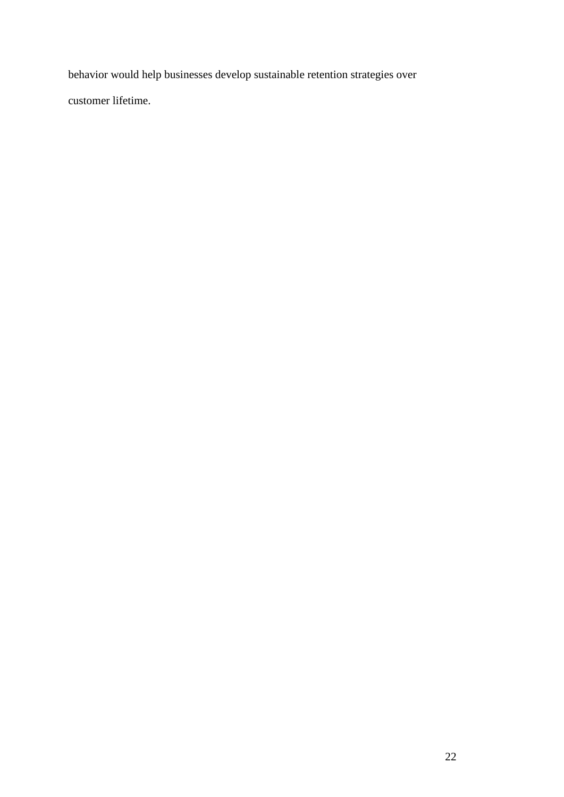behavior would help businesses develop sustainable retention strategies over customer lifetime.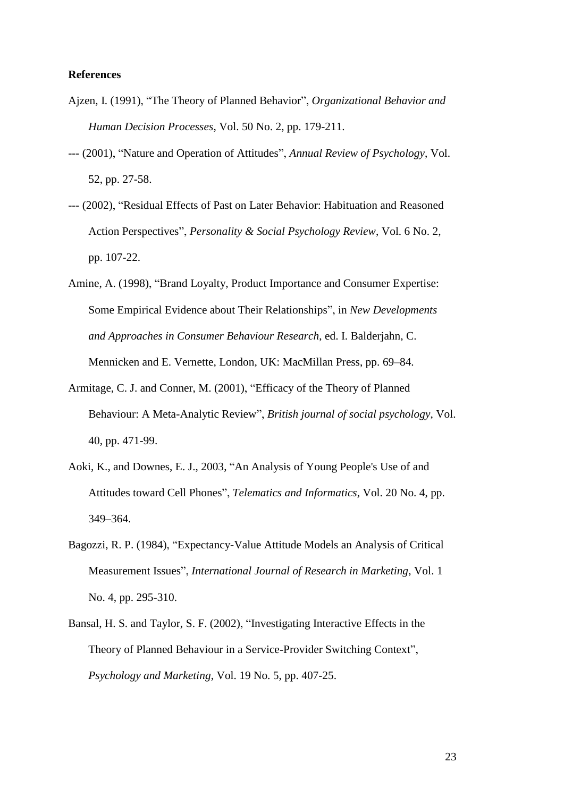### **References**

- Ajzen, I. (1991), "The Theory of Planned Behavior", *Organizational Behavior and Human Decision Processes*, Vol. 50 No. 2, pp. 179-211.
- --- (2001), "Nature and Operation of Attitudes", *Annual Review of Psychology*, Vol. 52, pp. 27-58.
- --- (2002), "Residual Effects of Past on Later Behavior: Habituation and Reasoned Action Perspectives", *Personality & Social Psychology Review*, Vol. 6 No. 2, pp. 107-22.
- Amine, A. (1998), "Brand Loyalty, Product Importance and Consumer Expertise: Some Empirical Evidence about Their Relationships", in *New Developments and Approaches in Consumer Behaviour Research*, ed. I. Balderjahn, C. Mennicken and E. Vernette, London, UK: MacMillan Press, pp. 69–84.
- Armitage, C. J. and Conner, M. (2001), "Efficacy of the Theory of Planned Behaviour: A Meta-Analytic Review", *British journal of social psychology*, Vol. 40, pp. 471-99.
- Aoki, K., and Downes, E. J., 2003, "An Analysis of Young People's Use of and Attitudes toward Cell Phones", *Telematics and Informatics*, Vol. 20 No. 4, pp. 349–364.
- Bagozzi, R. P. (1984), "Expectancy-Value Attitude Models an Analysis of Critical Measurement Issues", *International Journal of Research in Marketing*, Vol. 1 No. 4, pp. 295-310.
- Bansal, H. S. and Taylor, S. F. (2002), "Investigating Interactive Effects in the Theory of Planned Behaviour in a Service-Provider Switching Context", *Psychology and Marketing*, Vol. 19 No. 5, pp. 407-25.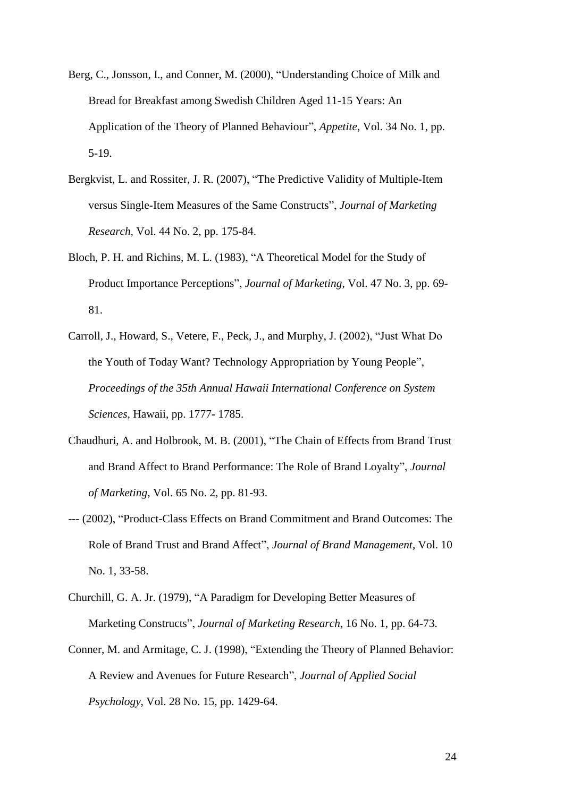- Berg, C., Jonsson, I., and Conner, M. (2000), "Understanding Choice of Milk and Bread for Breakfast among Swedish Children Aged 11-15 Years: An Application of the Theory of Planned Behaviour", *Appetite*, Vol. 34 No. 1, pp. 5-19.
- Bergkvist, L. and Rossiter, J. R. (2007), "The Predictive Validity of Multiple-Item versus Single-Item Measures of the Same Constructs", *Journal of Marketing Research*, Vol. 44 No. 2, pp. 175-84.
- Bloch, P. H. and Richins, M. L. (1983), "A Theoretical Model for the Study of Product Importance Perceptions", *Journal of Marketing*, Vol. 47 No. 3, pp. 69- 81.
- Carroll, J., Howard, S., Vetere, F., Peck, J., and Murphy, J. (2002), "Just What Do the Youth of Today Want? Technology Appropriation by Young People", *Proceedings of the 35th Annual Hawaii International Conference on System Sciences*, Hawaii, pp. 1777- 1785.
- Chaudhuri, A. and Holbrook, M. B. (2001), "The Chain of Effects from Brand Trust and Brand Affect to Brand Performance: The Role of Brand Loyalty", *Journal of Marketing*, Vol. 65 No. 2, pp. 81-93.
- --- (2002), "Product-Class Effects on Brand Commitment and Brand Outcomes: The Role of Brand Trust and Brand Affect", *Journal of Brand Management*, Vol. 10 No. 1, 33-58.
- Churchill, G. A. Jr. (1979), "A Paradigm for Developing Better Measures of Marketing Constructs", *Journal of Marketing Research*, 16 No. 1, pp. 64-73.
- Conner, M. and Armitage, C. J. (1998), "Extending the Theory of Planned Behavior: A Review and Avenues for Future Research", *Journal of Applied Social Psychology*, Vol. 28 No. 15, pp. 1429-64.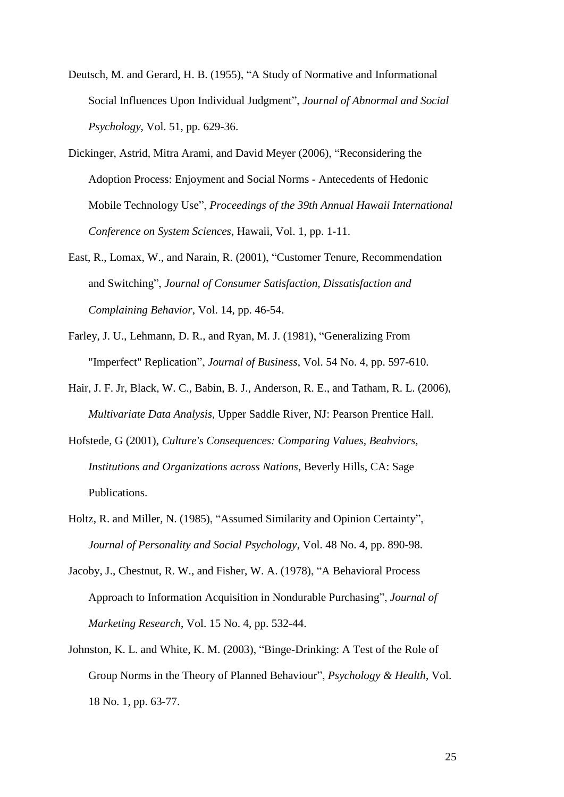- Deutsch, M. and Gerard, H. B. (1955), "A Study of Normative and Informational Social Influences Upon Individual Judgment", *Journal of Abnormal and Social Psychology*, Vol. 51, pp. 629-36.
- Dickinger, Astrid, Mitra Arami, and David Meyer (2006), "Reconsidering the Adoption Process: Enjoyment and Social Norms - Antecedents of Hedonic Mobile Technology Use", *Proceedings of the 39th Annual Hawaii International Conference on System Sciences*, Hawaii, Vol. 1, pp. 1-11.
- East, R., Lomax, W., and Narain, R. (2001), "Customer Tenure, Recommendation and Switching", *Journal of Consumer Satisfaction, Dissatisfaction and Complaining Behavior*, Vol. 14, pp. 46-54.
- Farley, J. U., Lehmann, D. R., and Ryan, M. J. (1981), "Generalizing From "Imperfect" Replication", *Journal of Business*, Vol. 54 No. 4, pp. 597-610.
- Hair, J. F. Jr, Black, W. C., Babin, B. J., Anderson, R. E., and Tatham, R. L. (2006), *Multivariate Data Analysis*, Upper Saddle River, NJ: Pearson Prentice Hall.
- Hofstede, G (2001), *Culture's Consequences: Comparing Values, Beahviors, Institutions and Organizations across Nations*, Beverly Hills, CA: Sage Publications.
- Holtz, R. and Miller, N. (1985), "Assumed Similarity and Opinion Certainty", *Journal of Personality and Social Psychology*, Vol. 48 No. 4, pp. 890-98.
- Jacoby, J., Chestnut, R. W., and Fisher, W. A. (1978), "A Behavioral Process Approach to Information Acquisition in Nondurable Purchasing", *Journal of Marketing Research*, Vol. 15 No. 4, pp. 532-44.
- Johnston, K. L. and White, K. M. (2003), "Binge-Drinking: A Test of the Role of Group Norms in the Theory of Planned Behaviour", *Psychology & Health*, Vol. 18 No. 1, pp. 63-77.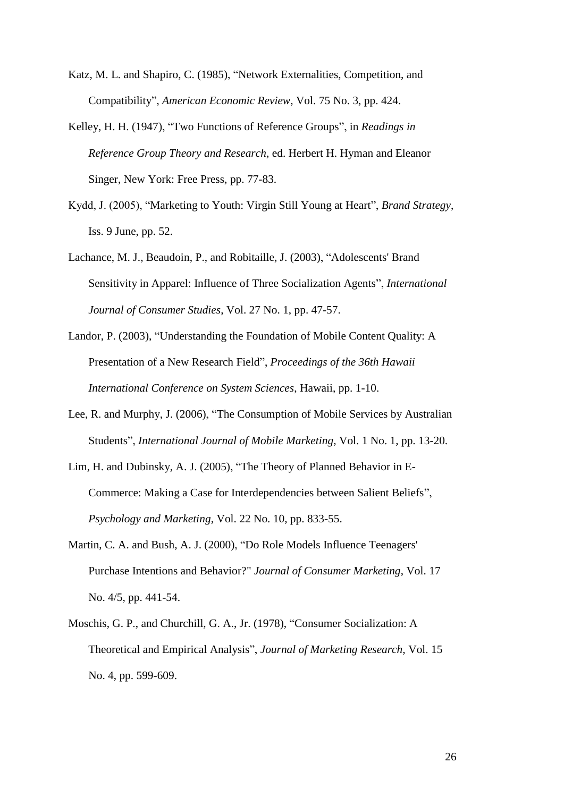- Katz, M. L. and Shapiro, C. (1985), "Network Externalities, Competition, and Compatibility", *American Economic Review*, Vol. 75 No. 3, pp. 424.
- Kelley, H. H. (1947), "Two Functions of Reference Groups", in *Readings in Reference Group Theory and Research*, ed. Herbert H. Hyman and Eleanor Singer, New York: Free Press, pp. 77-83.
- Kydd, J. (2005), "Marketing to Youth: Virgin Still Young at Heart", *Brand Strategy*, Iss. 9 June, pp. 52.
- Lachance, M. J., Beaudoin, P., and Robitaille, J. (2003), "Adolescents' Brand Sensitivity in Apparel: Influence of Three Socialization Agents", *International Journal of Consumer Studies*, Vol. 27 No. 1, pp. 47-57.
- Landor, P. (2003), "Understanding the Foundation of Mobile Content Quality: A Presentation of a New Research Field", *Proceedings of the 36th Hawaii International Conference on System Sciences*, Hawaii, pp. 1-10.
- Lee, R. and Murphy, J. (2006), "The Consumption of Mobile Services by Australian Students", *International Journal of Mobile Marketing*, Vol. 1 No. 1, pp. 13-20.
- Lim, H. and Dubinsky, A. J. (2005), "The Theory of Planned Behavior in E-Commerce: Making a Case for Interdependencies between Salient Beliefs", *Psychology and Marketing*, Vol. 22 No. 10, pp. 833-55.
- Martin, C. A. and Bush, A. J. (2000), "Do Role Models Influence Teenagers' Purchase Intentions and Behavior?" *Journal of Consumer Marketing*, Vol. 17 No. 4/5, pp. 441-54.
- Moschis, G. P., and Churchill, G. A., Jr. (1978), "Consumer Socialization: A Theoretical and Empirical Analysis", *Journal of Marketing Research*, Vol. 15 No. 4, pp. 599-609.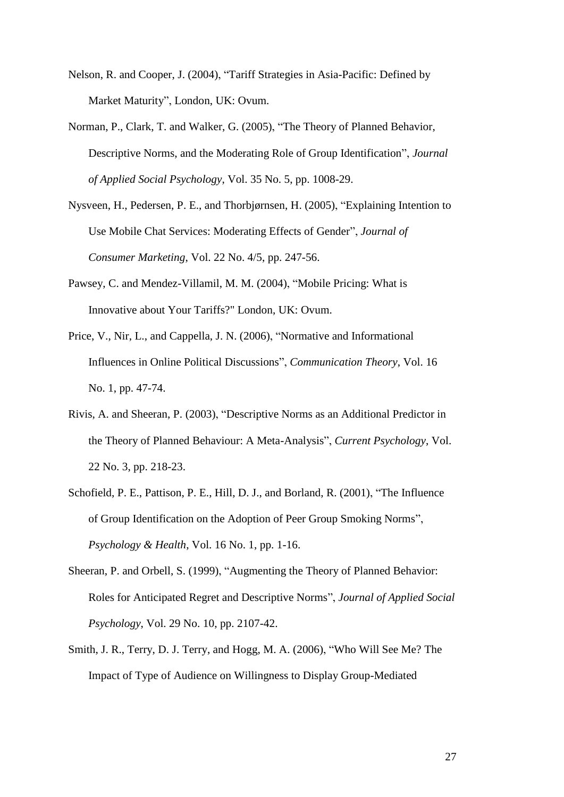- Nelson, R. and Cooper, J. (2004), "Tariff Strategies in Asia-Pacific: Defined by Market Maturity", London, UK: Ovum.
- Norman, P., Clark, T. and Walker, G. (2005), "The Theory of Planned Behavior, Descriptive Norms, and the Moderating Role of Group Identification", *Journal of Applied Social Psychology*, Vol. 35 No. 5, pp. 1008-29.
- Nysveen, H., Pedersen, P. E., and Thorbjørnsen, H. (2005), "Explaining Intention to Use Mobile Chat Services: Moderating Effects of Gender", *Journal of Consumer Marketing*, Vol. 22 No. 4/5, pp. 247-56.
- Pawsey, C. and Mendez-Villamil, M. M. (2004), "Mobile Pricing: What is Innovative about Your Tariffs?" London, UK: Ovum.
- Price, V., Nir, L., and Cappella, J. N. (2006), "Normative and Informational Influences in Online Political Discussions", *Communication Theory*, Vol. 16 No. 1, pp. 47-74.
- Rivis, A. and Sheeran, P. (2003), "Descriptive Norms as an Additional Predictor in the Theory of Planned Behaviour: A Meta-Analysis", *Current Psychology*, Vol. 22 No. 3, pp. 218-23.
- Schofield, P. E., Pattison, P. E., Hill, D. J., and Borland, R. (2001), "The Influence of Group Identification on the Adoption of Peer Group Smoking Norms", *Psychology & Health*, Vol. 16 No. 1, pp. 1-16.
- Sheeran, P. and Orbell, S. (1999), "Augmenting the Theory of Planned Behavior: Roles for Anticipated Regret and Descriptive Norms", *Journal of Applied Social Psychology*, Vol. 29 No. 10, pp. 2107-42.
- Smith, J. R., Terry, D. J. Terry, and Hogg, M. A. (2006), "Who Will See Me? The Impact of Type of Audience on Willingness to Display Group-Mediated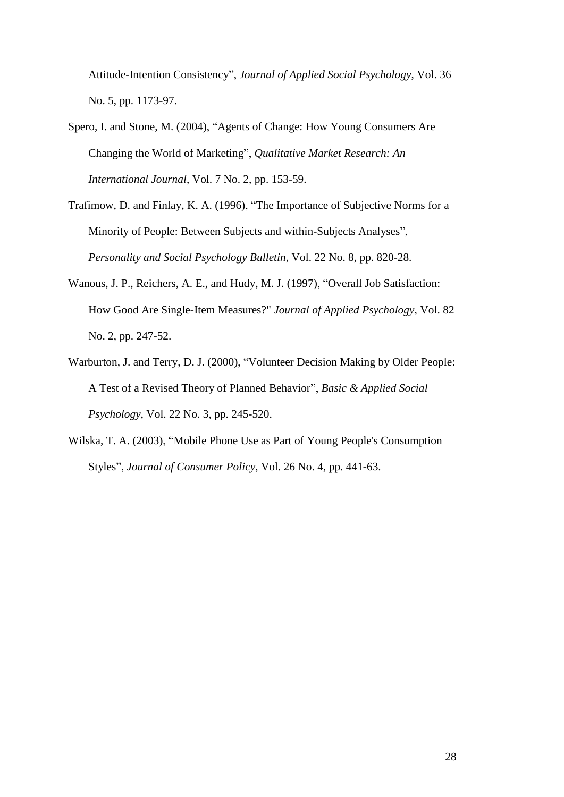Attitude-Intention Consistency", *Journal of Applied Social Psychology*, Vol. 36 No. 5, pp. 1173-97.

- Spero, I. and Stone, M. (2004), "Agents of Change: How Young Consumers Are Changing the World of Marketing", *Qualitative Market Research: An International Journal*, Vol. 7 No. 2, pp. 153-59.
- Trafimow, D. and Finlay, K. A. (1996), "The Importance of Subjective Norms for a Minority of People: Between Subjects and within-Subjects Analyses", *Personality and Social Psychology Bulletin*, Vol. 22 No. 8, pp. 820-28.
- Wanous, J. P., Reichers, A. E., and Hudy, M. J. (1997), "Overall Job Satisfaction: How Good Are Single-Item Measures?" *Journal of Applied Psychology*, Vol. 82 No. 2, pp. 247-52.
- Warburton, J. and Terry, D. J. (2000), "Volunteer Decision Making by Older People: A Test of a Revised Theory of Planned Behavior", *Basic & Applied Social Psychology*, Vol. 22 No. 3, pp. 245-520.
- Wilska, T. A. (2003), "Mobile Phone Use as Part of Young People's Consumption Styles", *Journal of Consumer Policy*, Vol. 26 No. 4, pp. 441-63.